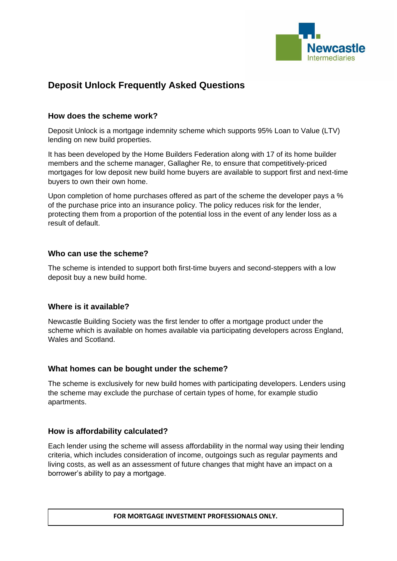

# **Deposit Unlock Frequently Asked Questions**

## **How does the scheme work?**

Deposit Unlock is a mortgage indemnity scheme which supports 95% Loan to Value (LTV) lending on new build properties.

It has been developed by the Home Builders Federation along with 17 of its home builder members and the scheme manager, Gallagher Re, to ensure that competitively-priced mortgages for low deposit new build home buyers are available to support first and next-time buyers to own their own home.

Upon completion of home purchases offered as part of the scheme the developer pays a % of the purchase price into an insurance policy. The policy reduces risk for the lender, protecting them from a proportion of the potential loss in the event of any lender loss as a result of default.

## **Who can use the scheme?**

The scheme is intended to support both first-time buyers and second-steppers with a low deposit buy a new build home.

#### **Where is it available?**

Newcastle Building Society was the first lender to offer a mortgage product under the scheme which is available on homes available via participating developers across England, Wales and Scotland.

#### **What homes can be bought under the scheme?**

The scheme is exclusively for new build homes with participating developers. Lenders using the scheme may exclude the purchase of certain types of home, for example studio apartments.

## **How is affordability calculated?**

Each lender using the scheme will assess affordability in the normal way using their lending criteria, which includes consideration of income, outgoings such as regular payments and living costs, as well as an assessment of future changes that might have an impact on a borrower's ability to pay a mortgage.

**FOR MORTGAGE INVESTMENT PROFESSIONALS ONLY.**